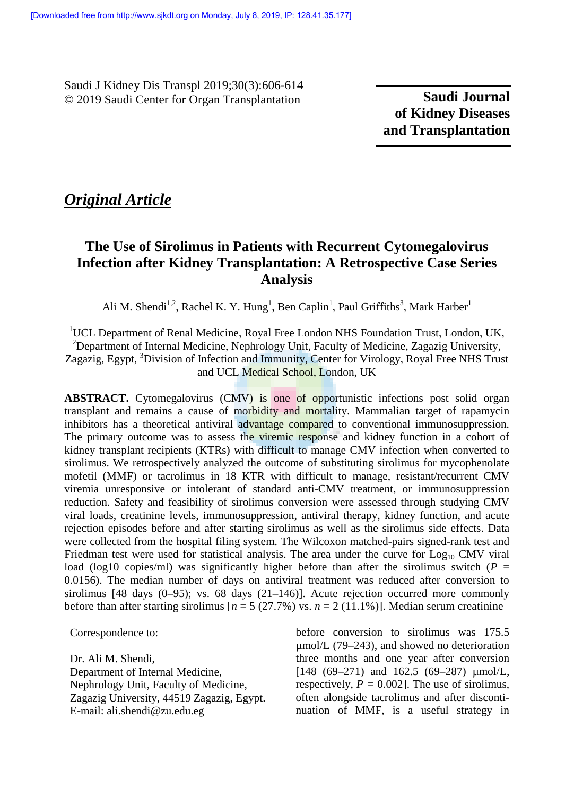Saudi J Kidney Dis Transpl 2019;30(3):606-614 © 2019 Saudi Center for Organ Transplantation

**Saudi Journal of Kidney Diseases and Transplantation**

# *Original Article*

# **The Use of Sirolimus in Patients with Recurrent Cytomegalovirus Infection after Kidney Transplantation: A Retrospective Case Series Analysis**

Ali M. Shendi<sup>1,2</sup>, Rachel K. Y. Hung<sup>1</sup>, Ben Caplin<sup>1</sup>, Paul Griffiths<sup>3</sup>, Mark Harber<sup>1</sup>

<sup>1</sup>UCL Department of Renal Medicine, Royal Free London NHS Foundation Trust, London, UK, <sup>2</sup>Department of Internal Medicine, Nephrology Unit, Faculty of Medicine, Zagazig University, Zagazig, Egypt, <sup>3</sup>Division of Infection and Immunity, Center for Virology, Royal Free NHS Trust and UCL Medical School, London, UK

**ABSTRACT.** Cytomegalovirus (CMV) is one of opportunistic infections post solid organ transplant and remains a cause of morbidity and mortality. Mammalian target of rapamycin inhibitors has a theoretical antiviral advantage compared to conventional immunosuppression. The primary outcome was to assess the viremic response and kidney function in a cohort of kidney transplant recipients (KTRs) with difficult to manage CMV infection when converted to sirolimus. We retrospectively analyzed the outcome of substituting sirolimus for mycophenolate mofetil (MMF) or tacrolimus in 18 KTR with difficult to manage, resistant/recurrent CMV viremia unresponsive or intolerant of standard anti-CMV treatment, or immunosuppression reduction. Safety and feasibility of sirolimus conversion were assessed through studying CMV viral loads, creatinine levels, immunosuppression, antiviral therapy, kidney function, and acute rejection episodes before and after starting sirolimus as well as the sirolimus side effects. Data were collected from the hospital filing system. The Wilcoxon matched-pairs signed-rank test and Friedman test were used for statistical analysis. The area under the curve for  $Log<sub>10</sub> CMV$  viral load (log10 copies/ml) was significantly higher before than after the sirolimus switch ( $P =$ 0.0156). The median number of days on antiviral treatment was reduced after conversion to sirolimus  $[48 \text{ days } (0-95); \text{ vs. } 68 \text{ days } (21-146)].$  Acute rejection occurred more commonly before than after starting sirolimus  $[n = 5 (27.7%)$  vs.  $n = 2 (11.1%)$ . Median serum creatinine

Correspondence to:

Dr. Ali M. Shendi, Department of Internal Medicine, Nephrology Unit, Faculty of Medicine, Zagazig University, 44519 Zagazig, Egypt. E-mail: ali.shendi@zu.edu.eg

before conversion to sirolimus was 175.5 µmol/L (79–243), and showed no deterioration three months and one year after conversion [148 (69–271) and 162.5 (69–287)  $\mu$ mol/L, respectively,  $P = 0.002$ . The use of sirolimus, often alongside tacrolimus and after disconti nuation of MMF, is a useful strategy in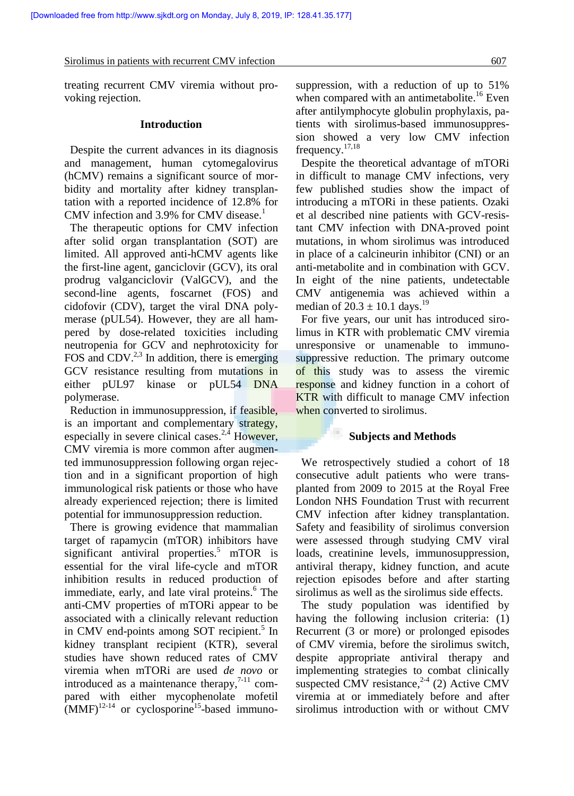treating recurrent CMV viremia without pro voking rejection.

## **Introduction**

Despite the current advances in its diagnosis and management, human cytomegalovirus (hCMV) remains a significant source of mor bidity and mortality after kidney transplantation with a reported incidence of 12.8% for CMV infection and  $3.9\%$  for CMV disease.<sup>1</sup>

The therapeutic options for CMV infection after solid organ transplantation (SOT) are limited. All approved anti-hCMV agents like the first-line agent, ganciclovir (GCV), its oral prodrug valganciclovir (ValGCV), and the second-line agents, foscarnet (FOS) and cidofovir (CDV), target the viral DNA poly merase (pUL54). However, they are all ham pered by dose-related toxicities including neutropenia for GCV and nephrotoxicity for FOS and CDV. $^{2,3}$  In addition, there is emerging GCV resistance resulting from mutations in either pUL97 kinase or pUL54 DNA polymerase.

Reduction in immunosuppression, if feasible, is an important and complementary strategy, especially in severe clinical cases. $2,4$  However, CMV viremia is more common after augmented immunosuppression following organ rejection and in a significant proportion of high immunological risk patients or those who have already experienced rejection; there is limited potential for immunosuppression reduction.

There is growing evidence that mammalian target of rapamycin (mTOR) inhibitors have significant antiviral properties.<sup>5</sup> mTOR is essential for the viral life-cycle and mTOR inhibition results in reduced production of immediate, early, and late viral proteins.<sup>6</sup> The sirol anti-CMV properties of mTORi appear to be associated with a clinically relevant reduction in CMV end-points among SOT recipient.<sup>5</sup> In kidney transplant recipient (KTR), several studies have shown reduced rates of CMV viremia when mTORi are used *de novo* or introduced as a maintenance therapy, $7-11$  compared with either mycophenolate mofetil  $(MMF)^{12-14}$  or cyclosporine<sup>15</sup>-based immuno-

suppression, with a reduction of up to 51% when compared with an antimetabolite.<sup>16</sup> Even after antilymphocyte globulin prophylaxis, patients with sirolimus-based immunosuppres sion showed a very low CMV infection frequency. $17,18$ 

Despite the theoretical advantage of mTORi in difficult to manage CMV infections, very few published studies show the impact of introducing a mTORi in these patients. Ozaki et al described nine patients with GCV-resistant CMV infection with DNA-proved point mutations, in whom sirolimus was introduced in place of a calcineurin inhibitor (CNI) or an anti-metabolite and in combination with GCV. In eight of the nine patients, undetectable CMV antigenemia was achieved within a median of  $20.3 \pm 10.1$  days.<sup>19</sup>

For five years, our unit has introduced sirolimus in KTR with problematic CMV viremia unresponsive or unamenable to immuno suppressive reduction. The primary outcome of this study was to assess the viremic response and kidney function in a cohort of KTR with difficult to manage CMV infection when converted to sirolimus.

# **Subjects and Methods**

We retrospectively studied a cohort of 18 consecutive adult patients who were trans planted from 2009 to 2015 at the Royal Free London NHS Foundation Trust with recurrent CMV infection after kidney transplantation. Safety and feasibility of sirolimus conversion were assessed through studying CMV viral loads, creatinine levels, immunosuppression, antiviral therapy, kidney function, and acute rejection episodes before and after starting sirolimus as well as the sirolimus side effects.

The study population was identified by having the following inclusion criteria: (1) Recurrent (3 or more) or prolonged episodes of CMV viremia, before the sirolimus switch, despite appropriate antiviral therapy and implementing strategies to combat clinically suspected CMV resistance,  $2-4$  (2) Active CMV viremia at or immediately before and after sirolimus introduction with or without CMV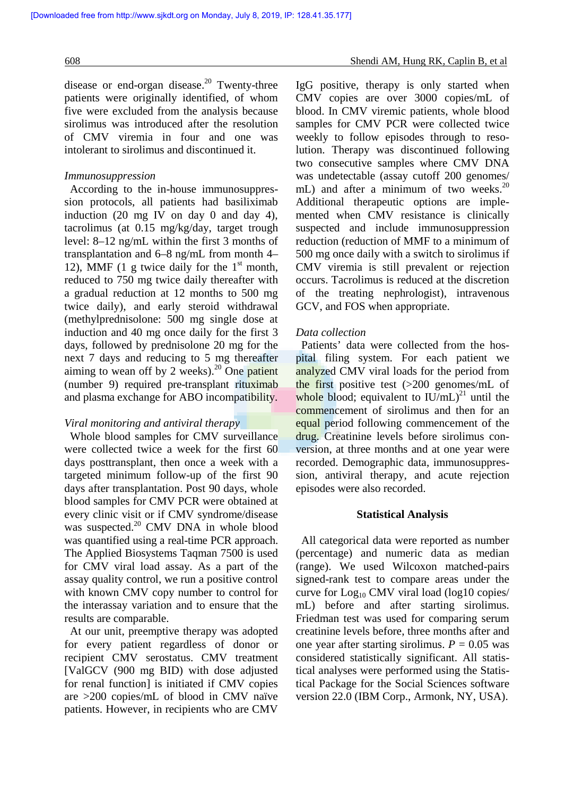disease or end-organ disease.<sup>20</sup> Twenty-three patients were originally identified, of whom five were excluded from the analysis because sirolimus was introduced after the resolution of CMV viremia in four and one was intolerant to sirolimus and discontinued it.

## *Immunosuppression*

According to the in-house immunosuppres sion protocols, all patients had basiliximab induction (20 mg IV on day 0 and day 4), tacrolimus (at 0.15 mg/kg/day, target trough level: 8–12 ng/mL within the first 3 months of transplantation and 6–8 ng/mL from month 4– 12), MMF (1 g twice daily for the  $1<sup>st</sup>$  month, G reduced to 750 mg twice daily thereafter with a gradual reduction at 12 months to 500 mg twice daily), and early steroid withdrawal (methylprednisolone: 500 mg single dose at induction and 40 mg once daily for the first 3 days, followed by prednisolone 20 mg for the next 7 days and reducing to 5 mg thereafter aiming to wean off by 2 weeks). $20$  One patient (number 9) required pre-transplant rituximab and plasma exchange for ABO incompatibility.

## *Viral monitoring and antiviral therapy*

Whole blood samples for CMV surveillance were collected twice a week for the first 60 days posttransplant, then once a week with a targeted minimum follow-up of the first 90 days after transplantation. Post 90 days, whole blood samples for CMV PCR were obtained at every clinic visit or if CMV syndrome/disease was suspected.<sup>20</sup> CMV DNA in whole blood was quantified using a real-time PCR approach. The Applied Biosystems Taqman 7500 is used for CMV viral load assay. As a part of the assay quality control, we run a positive control with known CMV copy number to control for the interassay variation and to ensure that the results are comparable.

At our unit, preemptive therapy was adopted for every patient regardless of donor or recipient CMV serostatus. CMV treatment [ValGCV (900 mg BID) with dose adjusted for renal function] is initiated if CMV copies are >200 copies/mL of blood in CMV naïve patients. However, in recipients who are CMV

IgG positive, therapy is only started when CMV copies are over 3000 copies/mL of blood. In CMV viremic patients, whole blood samples for CMV PCR were collected twice weekly to follow episodes through to resolution. Therapy was discontinued following two consecutive samples where CMV DNA was undetectable (assay cutoff 200 genomes/ mL) and after a minimum of two weeks. $^{20}$ Additional therapeutic options are imple mented when CMV resistance is clinically suspected and include immunosuppression reduction (reduction of MMF to a minimum of 500 mg once daily with a switch to sirolimus if CMV viremia is still prevalent or rejection occurs. Tacrolimus is reduced at the discretion of the treating nephrologist), intravenous GCV, and FOS when appropriate.

## *Data collection*

Patients' data were collected from the hos pital filing system. For each patient we analyzed CMV viral loads for the period from the first positive test  $(>=200 \text{ genomes/mL of})$ whole blood; equivalent to  $IU/mL)^{21}$  until the commencement of sirolimus and then for an equal period following commencement of the drug. Creatinine levels before sirolimus con version, at three months and at one year were recorded. Demographic data, immunosuppres sion, antiviral therapy, and acute rejection episodes were also recorded.

#### **Statistical Analysis**

All categorical data were reported as number (percentage) and numeric data as median (range). We used Wilcoxon matched-pairs signed-rank test to compare areas under the curve for  $Log_{10}$  CMV viral load (log10 copies/ mL) before and after starting sirolimus. Friedman test was used for comparing serum creatinine levels before, three months after and one year after starting sirolimus.  $P = 0.05$  was considered statistically significant. All statistical analyses were performed using the Statistical Package for the Social Sciences software version 22.0 (IBM Corp., Armonk, NY, USA).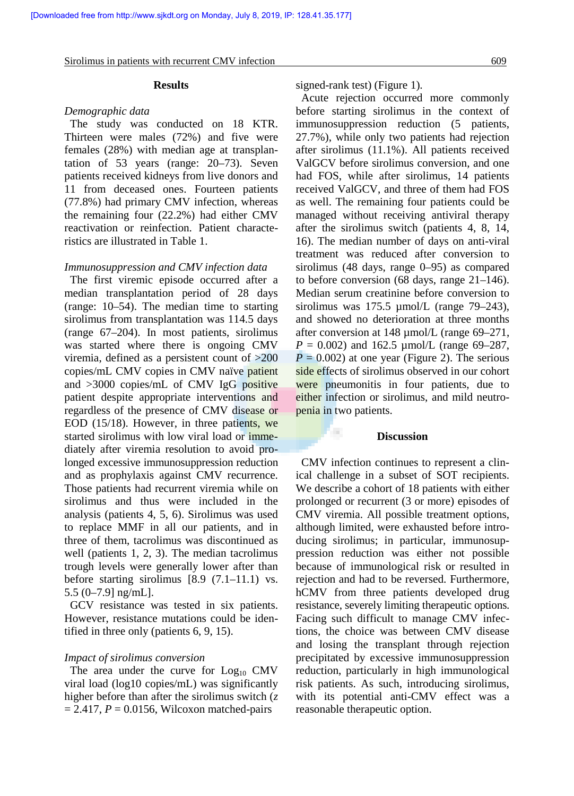#### **Results**

#### *Demographic data*

The study was conducted on 18 KTR. Thirteen were males (72%) and five were females (28%) with median age at transplantation of 53 years (range: 20–73). Seven patients received kidneys from live donors and 11 from deceased ones. Fourteen patients (77.8%) had primary CMV infection, whereas the remaining four (22.2%) had either CMV reactivation or reinfection. Patient characteristics are illustrated in Table 1.

### *Immunosuppression and CMV infection data*

 The first viremic episode occurred after a median transplantation period of 28 days (range: 10–54). The median time to starting sirolimus from transplantation was 114.5 days (range 67–204). In most patients, sirolimus was started where there is ongoing CMV viremia, defined as a persistent count of >200 copies/mL CMV copies in CMV naïve patient and >3000 copies/mL of CMV IgG positive patient despite appropriate interventions and regardless of the presence of CMV disease or EOD (15/18). However, in three patients, we started sirolimus with low viral load or imme diately after viremia resolution to avoid prolonged excessive immunosuppression reduction and as prophylaxis against CMV recurrence. Those patients had recurrent viremia while on sirolimus and thus were included in the analysis (patients 4, 5, 6). Sirolimus was used to replace MMF in all our patients, and in three of them, tacrolimus was discontinued as well (patients 1, 2, 3). The median tacrolimus trough levels were generally lower after than before starting sirolimus [8.9 (7.1–11.1) vs. 5.5 (0–7.9] ng/mL].

GCV resistance was tested in six patients. However, resistance mutations could be identified in three only (patients 6, 9, 15).

### *Impact of sirolimus conversion*

The area under the curve for  $Log<sub>10</sub>$  CMV viral load (log10 copies/mL) was significantly higher before than after the sirolimus switch (*z*  $= 2.417$ ,  $P = 0.0156$ , Wilcoxon matched-pairs

signed-rank test) (Figure 1).

Acute rejection occurred more commonly before starting sirolimus in the context of immunosuppression reduction (5 patients, 27.7%), while only two patients had rejection after sirolimus (11.1%). All patients received ValGCV before sirolimus conversion, and one had FOS, while after sirolimus, 14 patients received ValGCV, and three of them had FOS as well. The remaining four patients could be managed without receiving antiviral therapy after the sirolimus switch (patients 4, 8, 14, 16). The median number of days on anti-viral treatment was reduced after conversion to sirolimus (48 days, range 0–95) as compared to before conversion (68 days, range 21–146). Median serum creatinine before conversion to sirolimus was  $175.5 \mu$ mol/L (range 79–243), and showed no deterioration at three months after conversion at 148 µmol/L (range 69–271,  $P = 0.002$ ) and 162.5 µmol/L (range 69–287,  $P = 0.002$ ) at one year (Figure 2). The serious side effects of sirolimus observed in our cohort were pneumonitis in four patients, due to either infection or sirolimus, and mild neutro penia in two patients.

## **Discussion**

a.

CMV infection continues to represent a clinical challenge in a subset of SOT recipients. We describe a cohort of 18 patients with either prolonged or recurrent (3 or more) episodes of CMV viremia. All possible treatment options, although limited, were exhausted before intro ducing sirolimus; in particular, immunosup pression reduction was either not possible because of immunological risk or resulted in rejection and had to be reversed. Furthermore, hCMV from three patients developed drug resistance, severely limiting therapeutic options. Facing such difficult to manage CMV infections, the choice was between CMV disease and losing the transplant through rejection precipitated by excessive immunosuppression reduction, particularly in high immunological risk patients. As such, introducing sirolimus, with its potential anti-CMV effect was a reasonable therapeutic option.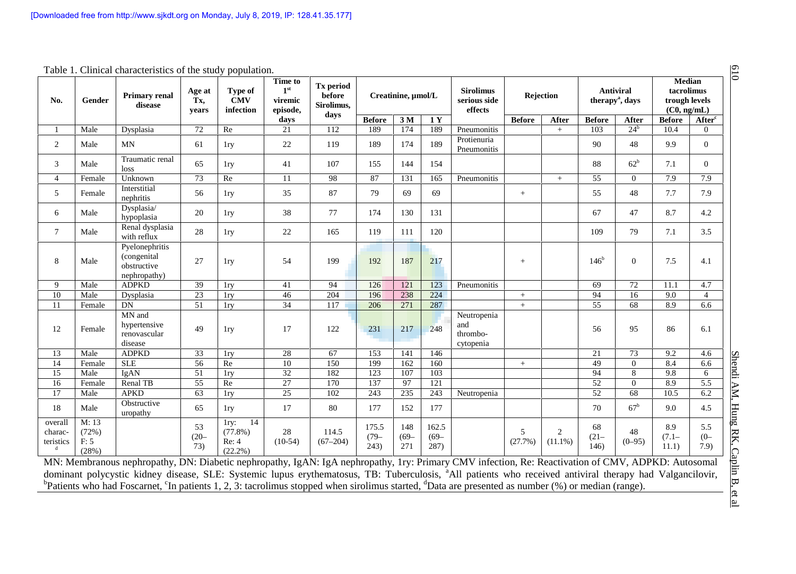| No.                             | Gender                          | Table 1. Clinical characteristics of the study population.<br><b>Primary renal</b><br>disease | Age at<br>Tx,<br>years | Type of<br><b>CMV</b><br>infection              | <b>Time to</b><br>1 <sup>st</sup><br>viremic<br>episode,<br>days | <b>Tx</b> period<br>before<br>Sirolimus.<br>days | Creatinine, µmol/L       |                       |                          | <b>Sirolimus</b><br>serious side<br>effects | Rejection     |                              | <b>Antiviral</b><br>therapy <sup>a</sup> , days |                 | Median<br>tacrolimus<br>trough levels<br>(C0, ng/mL) |                       |
|---------------------------------|---------------------------------|-----------------------------------------------------------------------------------------------|------------------------|-------------------------------------------------|------------------------------------------------------------------|--------------------------------------------------|--------------------------|-----------------------|--------------------------|---------------------------------------------|---------------|------------------------------|-------------------------------------------------|-----------------|------------------------------------------------------|-----------------------|
|                                 |                                 |                                                                                               |                        |                                                 |                                                                  |                                                  | <b>Before</b>            | 3 <sub>M</sub>        | 1Y                       |                                             | <b>Before</b> | After                        | <b>Before</b>                                   | After           | <b>Before</b>                                        | After <sup>c</sup>    |
|                                 | Male                            | Dysplasia                                                                                     | 72                     | Re                                              | 21                                                               | 112                                              | 189                      | 174                   | 189                      | Pneumonitis                                 |               | $+$                          | 103                                             | $24^b$          | 10.4                                                 | $\Omega$              |
| 2                               | Male                            | MN                                                                                            | 61                     | 1ry                                             | 22                                                               | 119                                              | 189                      | 174                   | 189                      | Protienuria<br>Pneumonitis                  |               |                              | 90                                              | 48              | 9.9                                                  | $\overline{0}$        |
| 3                               | Male                            | Traumatic renal<br>loss                                                                       | 65                     | 1ry                                             | 41                                                               | 107                                              | 155                      | 144                   | 154                      |                                             |               |                              | 88                                              | 62 <sup>b</sup> | 7.1                                                  | $\Omega$              |
| $\overline{4}$                  | Female                          | Unknown                                                                                       | 73                     | Re                                              | 11                                                               | 98                                               | 87                       | 131                   | 165                      | Pneumonitis                                 |               | $+$                          | 55                                              | $\theta$        | 7.9                                                  | 7.9                   |
| 5                               | Female                          | Interstitial<br>nephritis                                                                     | 56                     | 1ry                                             | 35                                                               | 87                                               | 79                       | 69                    | 69                       |                                             | $+$           |                              | 55                                              | 48              | 7.7                                                  | 7.9                   |
| 6                               | Male                            | Dysplasia/<br>hypoplasia                                                                      | 20                     | 1ry                                             | 38                                                               | 77                                               | 174                      | 130                   | 131                      |                                             |               |                              | 67                                              | 47              | 8.7                                                  | 4.2                   |
| $\tau$                          | Male                            | Renal dysplasia<br>with reflux                                                                | 28                     | 1ry                                             | 22                                                               | 165                                              | 119                      | 111                   | 120                      |                                             |               |                              | 109                                             | 79              | 7.1                                                  | 3.5                   |
| 8                               | Male                            | Pyelonephritis<br>(congenital<br>obstructive<br>nephropathy)                                  | 27                     | 1ry                                             | 54                                                               | 199                                              | 192                      | 187                   | 217                      |                                             | $+$           |                              | 146 <sup>b</sup>                                | $\overline{0}$  | 7.5                                                  | 4.1                   |
| 9                               | Male                            | <b>ADPKD</b>                                                                                  | 39                     | 1ry                                             | 41                                                               | 94                                               | 126                      | 121                   | 123                      | Pneumonitis                                 |               |                              | 69                                              | $\overline{72}$ | 11.1                                                 | 4.7                   |
| $10\,$                          | Male                            | Dysplasia                                                                                     | 23                     | 1ry                                             | 46                                                               | 204                                              | 196                      | 238                   | 224                      |                                             | $+$           |                              | 94                                              | 16              | 9.0                                                  | $\overline{4}$        |
| 11                              | Female                          | DN                                                                                            | 51                     | 1ry                                             | 34                                                               | 117                                              | 206                      | 271                   | 287                      |                                             | $+$           |                              | 55                                              | 68              | 8.9                                                  | 6.6                   |
| 12                              | Female                          | MN and<br>hypertensive<br>renovascular<br>disease                                             | 49                     | 1ry                                             | 17                                                               | 122                                              | 231                      | 217                   | 248                      | Neutropenia<br>and<br>thrombo-<br>cytopenia |               |                              | 56                                              | 95              | 86                                                   | 6.1                   |
| 13                              | Male                            | <b>ADPKD</b>                                                                                  | 33                     | 1ry                                             | 28                                                               | 67                                               | 153                      | 141                   | 146                      |                                             |               |                              | 21                                              | 73              | 9.2                                                  | 4.6                   |
| 14                              | Female                          | <b>SLE</b>                                                                                    | 56                     | Re                                              | 10                                                               | 150                                              | 199                      | 162                   | 160                      |                                             | $+$           |                              | 49                                              | $\overline{0}$  | 8.4                                                  | 6.6                   |
| 15                              | Male                            | IgAN                                                                                          | 51                     | 1ry                                             | 32                                                               | 182                                              | 123                      | 107                   | 103                      |                                             |               |                              | 94                                              | 8               | 9.8                                                  | 6                     |
| 16                              | Female                          | Renal TB                                                                                      | $\overline{55}$        | Re                                              | $\overline{27}$                                                  | 170                                              | 137                      | 97                    | $\overline{121}$         |                                             |               |                              | 52                                              | $\mathbf{0}$    | 8.9                                                  | 5.5                   |
| 17                              | Male                            | <b>APKD</b>                                                                                   | 63                     | 1ry                                             | $\overline{25}$                                                  | 102                                              | 243                      | 235                   | 243                      | Neutropenia                                 |               |                              | $\overline{52}$                                 | 68              | 10.5                                                 | 6.2                   |
| 18                              | Male                            | Obstructive<br>uropathy                                                                       | 65                     | 1ry                                             | 17                                                               | 80                                               | 177                      | 152                   | 177                      |                                             |               |                              | 70                                              | $67^{\rm b}$    | 9.0                                                  | 4.5                   |
| overall<br>charac-<br>teristics | M: 13<br>(72%)<br>F: 5<br>(28%) |                                                                                               | 53<br>$(20 -$<br>73)   | 14<br>1ry:<br>$(77.8\%)$<br>Re: 4<br>$(22.2\%)$ | 28<br>$(10-54)$                                                  | 114.5<br>$(67 - 204)$                            | 175.5<br>$(79 -$<br>243) | 148<br>$(69 -$<br>271 | 162.5<br>$(69 -$<br>287) |                                             | 5<br>(27.7%)  | $\overline{2}$<br>$(11.1\%)$ | 68<br>$(21 -$<br>146)                           | 48<br>$(0-95)$  | 8.9<br>$(7.1 -$<br>11.1)                             | 5.5<br>$(0 -$<br>7.9) |

Table 1. Clinical characteristics of the study population.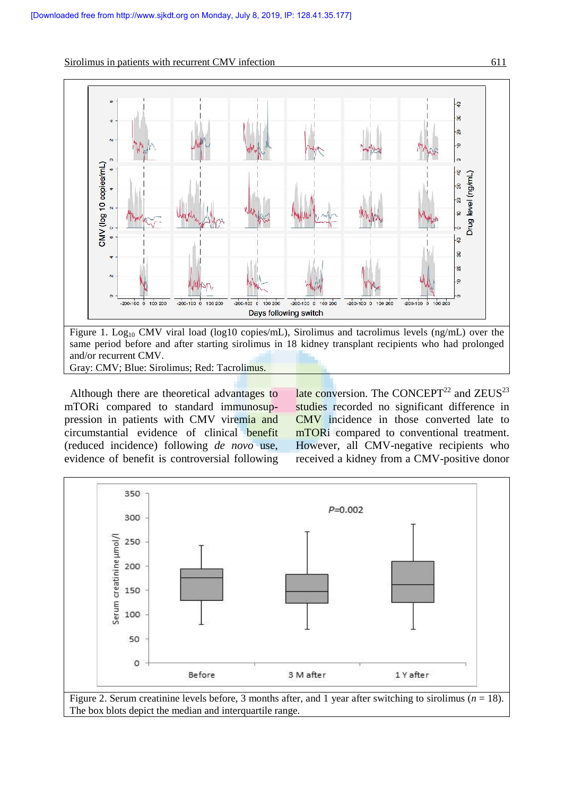



Gray: CMV; Blue: Sirolimus; Red: Tacrolimus.

Although there are theoretical advantages to mTORi compared to standard immunosup pression in patients with CMV viremia and circumstantial evidence of clinical benefit (reduced incidence) following *de novo* use, evidence of benefit is controversial following late conversion. The CONCEPT<sup>22</sup> and  $ZEUS<sup>23</sup>$ studies recorded no significant difference in CMV incidence in those converted late to mTORi compared to conventional treatment. However, all CMV-negative recipients who received a kidney from a CMV-positive donor

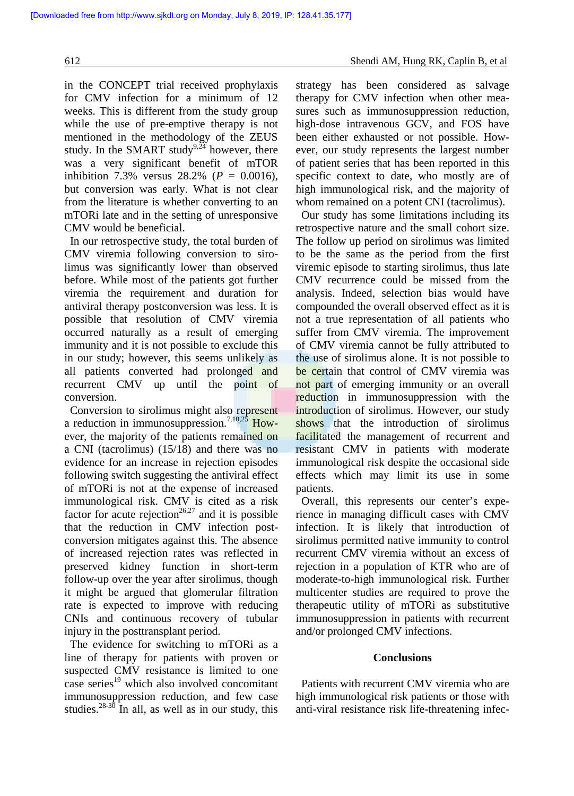in the CONCEPT trial received prophylaxis for CMV infection for a minimum of 12 weeks. This is different from the study group while the use of pre-emptive therapy is not mentioned in the methodology of the ZEUS study. In the SMART study<sup>9,24</sup> however, there was a very significant benefit of mTOR inhibition 7.3% versus  $28.2\%$  ( $P = 0.0016$ ), but conversion was early. What is not clear from the literature is whether converting to an mTORi late and in the setting of unresponsive CMV would be beneficial.

In our retrospective study, the total burden of CMV viremia following conversion to sirolimus was significantly lower than observed before. While most of the patients got further viremia the requirement and duration for antiviral therapy postconversion was less. It is possible that resolution of CMV viremia occurred naturally as a result of emerging immunity and it is not possible to exclude this in our study; however, this seems unlikely as all patients converted had prolonged and recurrent CMV up until the point of conversion.

Conversion to sirolimus might also represent a reduction in immunosuppression.<sup>7,10,25</sup> However, the majority of the patients remained on a CNI (tacrolimus) (15/18) and there was no evidence for an increase in rejection episodes following switch suggesting the antiviral effect of mTORi is not at the expense of increased immunological risk. CMV is cited as a risk factor for acute rejection<sup>26,27</sup> and it is possible that the reduction in CMV infection post conversion mitigates against this. The absence of increased rejection rates was reflected in preserved kidney function in short-term follow-up over the year after sirolimus, though it might be argued that glomerular filtration rate is expected to improve with reducing CNIs and continuous recovery of tubular injury in the posttransplant period.

The evidence for switching to mTORi as a line of therapy for patients with proven or suspected CMV resistance is limited to one case series $19$  which also involved concomitant immunosuppression reduction, and few case studies. $28-30$  In all, as well as in our study, this

strategy has been considered as salvage therapy for CMV infection when other mea sures such as immunosuppression reduction, high-dose intravenous GCV, and FOS have been either exhausted or not possible. How ever, our study represents the largest number of patient series that has been reported in this specific context to date, who mostly are of high immunological risk, and the majority of whom remained on a potent CNI (tacrolimus).

Our study has some limitations including its retrospective nature and the small cohort size. The follow up period on sirolimus was limited to be the same as the period from the first viremic episode to starting sirolimus, thus late CMV recurrence could be missed from the analysis. Indeed, selection bias would have compounded the overall observed effect as it is not a true representation of all patients who suffer from CMV viremia. The improvement of CMV viremia cannot be fully attributed to the use of sirolimus alone. It is not possible to be certain that control of CMV viremia was not part of emerging immunity or an overall reduction in immunosuppression with the introduction of sirolimus. However, our study shows that the introduction of sirolimus facilitated the management of recurrent and resistant CMV in patients with moderate immunological risk despite the occasional side effects which may limit its use in some patients.

Overall, this represents our center's experience in managing difficult cases with CMV infection. It is likely that introduction of sirolimus permitted native immunity to control recurrent CMV viremia without an excess of rejection in a population of KTR who are of moderate-to-high immunological risk. Further multicenter studies are required to prove the therapeutic utility of mTORi as substitutive immunosuppression in patients with recurrent and/or prolonged CMV infections.

## **Conclusions**

Patients with recurrent CMV viremia who are high immunological risk patients or those with anti-viral resistance risk life-threatening infec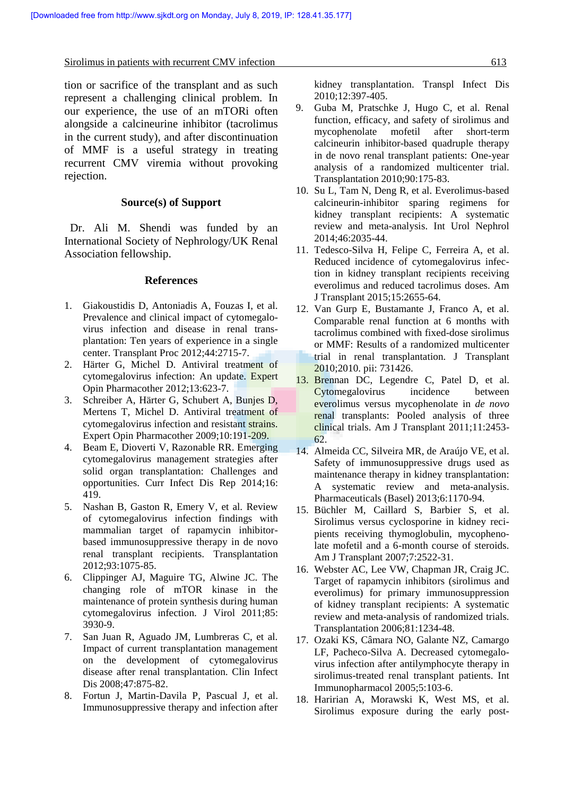Sirolimus in patients with recurrent CMV infection 613

tion or sacrifice of the transplant and as such represent a challenging clinical problem. In our experience, the use of an mTORi often alongside a calcineurine inhibitor (tacrolimus in the current study), and after discontinuation of MMF is a useful strategy in treating recurrent CMV viremia without provoking rejection.

## **Source(s) of Support**

 Dr. Ali M. Shendi was funded by an International Society of Nephrology/UK Renal Association fellowship.

#### **References**

- 1. Giakoustidis D, Antoniadis A, Fouzas I, et al. Prevalence and clinical impact of cytomegalo virus infection and disease in renal trans plantation: Ten years of experience in a single center. Transplant Proc 2012;44:2715-7.
- 2. Härter G, Michel D. Antiviral treatment of cytomegalovirus infection: An update. Expert Opin Pharmacother 2012;13:623-7.
- 3. Schreiber A, Härter G, Schubert A, Bunjes D, Mertens T, Michel D. Antiviral treatment of cytomegalovirus infection and resistant strains. Expert Opin Pharmacother 2009;10:191-209.
- 4. Beam E, Dioverti V, Razonable RR. Emerging cytomegalovirus management strategies after solid organ transplantation: Challenges and opportunities. Curr Infect Dis Rep 2014;16: 419.
- 5. Nashan B, Gaston R, Emery V, et al. Review of cytomegalovirus infection findings with mammalian target of rapamycin inhibitor based immunosuppressive therapy in de novo renal transplant recipients. Transplantation 2012;93:1075-85.
- 6. Clippinger AJ, Maguire TG, Alwine JC. The changing role of mTOR kinase in the maintenance of protein synthesis during human cytomegalovirus infection. J Virol 2011;85: 3930-9.
- 7. San Juan R, Aguado JM, Lumbreras C, et al. Impact of current transplantation management on the development of cytomegalovirus disease after renal transplantation. Clin Infect Dis 2008;47:875-82.
- 8. Fortun J, Martin-Davila P, Pascual J, et al. Immunosuppressive therapy and infection after

kidney transplantation. Transpl Infect Dis 2010;12:397-405.

- 9. Guba M, Pratschke J, Hugo C, et al. Renal function, efficacy, and safety of sirolimus and mycophenolate mofetil after short-term calcineurin inhibitor-based quadruple therapy in de novo renal transplant patients: One-year analysis of a randomized multicenter trial. Transplantation 2010;90:175-83.
- 10. Su L, Tam N, Deng R, et al. Everolimus-based calcineurin-inhibitor sparing regimens for kidney transplant recipients: A systematic review and meta-analysis. Int Urol Nephrol 2014;46:2035-44.
- 11. Tedesco-Silva H, Felipe C, Ferreira A, et al. Reduced incidence of cytomegalovirus infection in kidney transplant recipients receiving everolimus and reduced tacrolimus doses. Am J Transplant 2015;15:2655-64.
- 12. Van Gurp E, Bustamante J, Franco A, et al. Comparable renal function at 6 months with tacrolimus combined with fixed-dose sirolimus or MMF: Results of a randomized multicenter trial in renal transplantation. J Transplant 2010;2010. pii: 731426.
- 13. Brennan DC, Legendre C, Patel D, et al. Cytomegalovirus incidence between everolimus versus mycophenolate in *de novo* renal transplants: Pooled analysis of three clinical trials. Am J Transplant 2011;11:2453- 62.
- 14. Almeida CC, Silveira MR, de Araújo VE, et al. Safety of immunosuppressive drugs used as maintenance therapy in kidney transplantation: A systematic review and meta-analysis. Pharmaceuticals (Basel) 2013;6:1170-94.
- 15. Büchler M, Caillard S, Barbier S, et al. Sirolimus versus cyclosporine in kidney reci pients receiving thymoglobulin, mycophenolate mofetil and a 6-month course of steroids. Am J Transplant 2007;7:2522-31.
- 16. Webster AC, Lee VW, Chapman JR, Craig JC. Target of rapamycin inhibitors (sirolimus and everolimus) for primary immunosuppression of kidney transplant recipients: A systematic review and meta-analysis of randomized trials. Transplantation 2006;81:1234-48.
- 17. Ozaki KS, Câmara NO, Galante NZ, Camargo LF, Pacheco-Silva A. Decreased cytomegalo virus infection after antilymphocyte therapy in sirolimus-treated renal transplant patients. Int Immunopharmacol 2005;5:103-6.
- 18. Haririan A, Morawski K, West MS, et al. Sirolimus exposure during the early post-